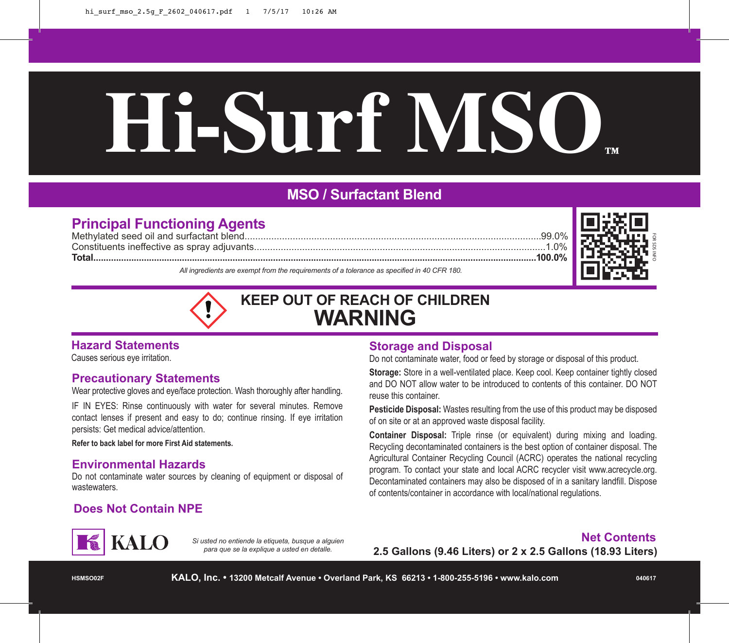# **Hi-Surf MSO™**

### **MSO / Surfactant Blend**

#### **Principal Functioning Agents**

Methylated seed oil and surfactant blend...............................................................................................................99.0% Constituents ineffective as spray adjuvants.............................................................................................................1.0% **Total...............................................................................................................................................................................100.0%** *All ingredients are exempt from the requirements of a tolerance as specified in 40 CFR 180.*



## **KEEP OUT OF REACH OF CHILDREN WARNING**

#### **Hazard Statements**

Causes serious eye irritation.

#### **Precautionary Statements**

Wear protective gloves and eye/face protection. Wash thoroughly after handling.

IF IN EYES: Rinse continuously with water for several minutes. Remove contact lenses if present and easy to do; continue rinsing. If eye irritation persists: Get medical advice/attention.

**Refer to back label for more First Aid statements.**

#### **Environmental Hazards**

Do not contaminate water sources by cleaning of equipment or disposal of wastewaters.

#### **Does Not Contain NPE**

#### **Storage and Disposal**

Do not contaminate water, food or feed by storage or disposal of this product.

**Storage:** Store in a well-ventilated place. Keep cool. Keep container tightly closed and DO NOT allow water to be introduced to contents of this container. DO NOT reuse this container.

**Pesticide Disposal:** Wastes resulting from the use of this product may be disposed of on site or at an approved waste disposal facility.

**Container Disposal:** Triple rinse (or equivalent) during mixing and loading. Recycling decontaminated containers is the best option of container disposal. The Agricultural Container Recycling Council (ACRC) operates the national recycling program. To contact your state and local ACRC recycler visit www.acrecycle.org. Decontaminated containers may also be disposed of in a sanitary landfill. Dispose of contents/container in accordance with local/national regulations.

# **KALO**

*Si usted no entiende la etiqueta, busque a alguien para que se la explique a usted en detalle.*

#### **Net Contents**

**2.5 Gallons (9.46 Liters) or 2 x 2.5 Gallons (18.93 Liters)**

**HSMSO02F**

**KALO, Inc. • 13200 Metcalf Avenue • Overland Park, KS 66213 • 1-800-255-5196 • www.kalo.com**

**040617**